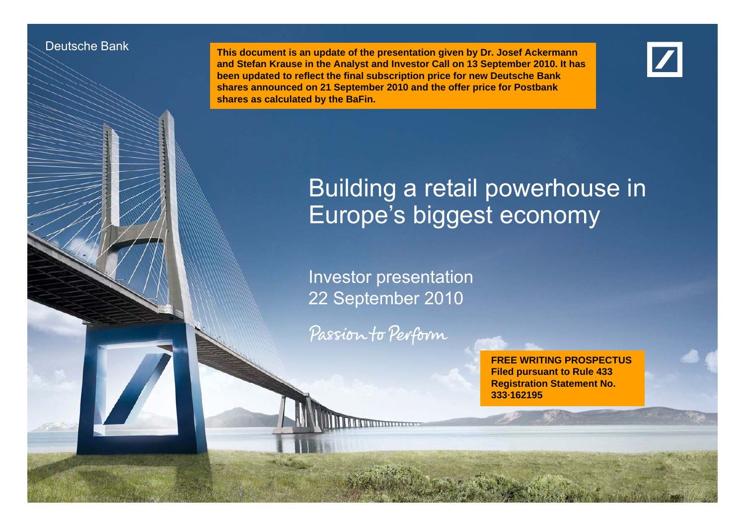#### Deutsche Bank

Deutsche Banken Banken Investor Relations

 **This document is an update of the presentation given by Dr. Josef Ackermann and Stefan Krause in the Analyst and Investor Call on 13 September 2010. It has been updated to reflect the final subscription price for new Deutsche Bank**  shares announced on 21 September 2010 and the offer price for Postbank **shares as calculated by the BaFin.**



# Building a retail powerhouse in Europe's biggest economy

Investor presentation 22 September 2010

Passion to Perform

Investor presentation  $22.2$  September 2010

**FREE WRITING PROSPECTUSFiled pursuant to Rule 433 Registration Statement No No. 333·162195**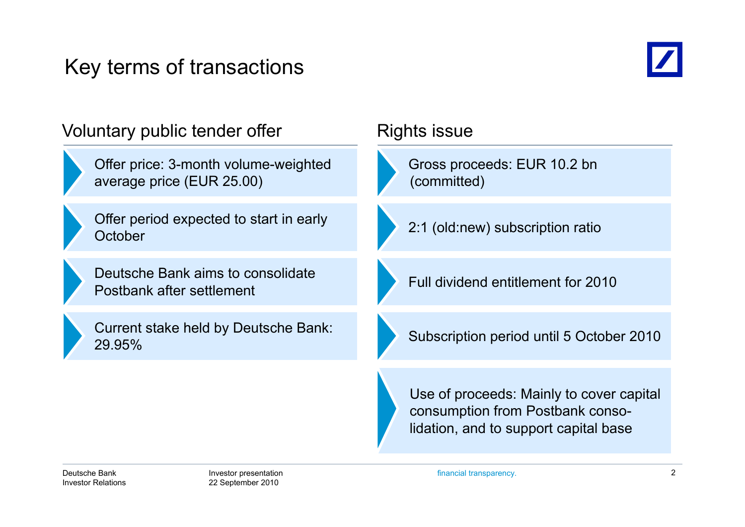# Key terms of transactions



| Voluntary public tender offer                                     | <b>Rights issue</b>                                                                                                   |  |
|-------------------------------------------------------------------|-----------------------------------------------------------------------------------------------------------------------|--|
| Offer price: 3-month volume-weighted<br>average price (EUR 25.00) | Gross proceeds: EUR 10.2 bn<br>(committed)                                                                            |  |
| Offer period expected to start in early<br>October                | 2:1 (old:new) subscription ratio                                                                                      |  |
| Deutsche Bank aims to consolidate<br>Postbank after settlement    | Full dividend entitlement for 2010                                                                                    |  |
| Current stake held by Deutsche Bank:<br>29.95%                    | Subscription period until 5 October 2010                                                                              |  |
|                                                                   | Use of proceeds: Mainly to cover capital<br>consumption from Postbank conso-<br>lidation, and to support capital base |  |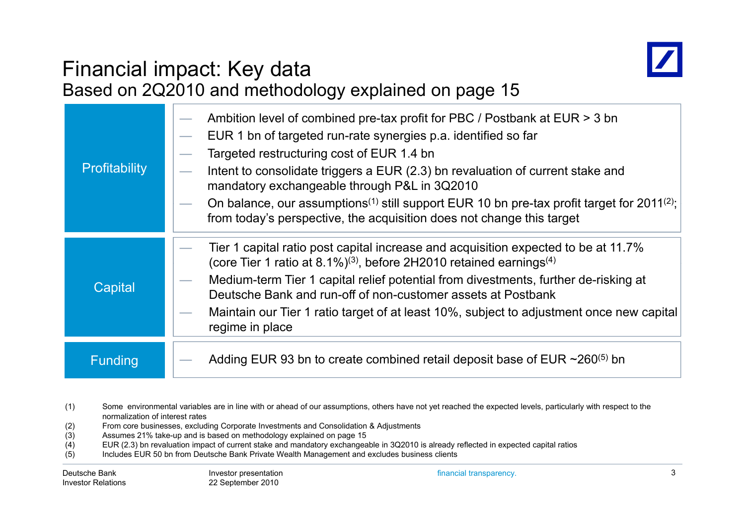

# Financial impact: Key data

|                | Based on 2Q2010 and methodology explained on page 15                                                                                                                                                                                                                                                                                                                                                                                                                                                                       |
|----------------|----------------------------------------------------------------------------------------------------------------------------------------------------------------------------------------------------------------------------------------------------------------------------------------------------------------------------------------------------------------------------------------------------------------------------------------------------------------------------------------------------------------------------|
| Profitability  | Ambition level of combined pre-tax profit for PBC / Postbank at EUR > 3 bn<br>EUR 1 bn of targeted run-rate synergies p.a. identified so far<br>Targeted restructuring cost of EUR 1.4 bn<br>Intent to consolidate triggers a EUR (2.3) bn revaluation of current stake and<br>mandatory exchangeable through P&L in 3Q2010<br>On balance, our assumptions <sup>(1)</sup> still support EUR 10 bn pre-tax profit target for 2011 <sup>(2)</sup> ;<br>from today's perspective, the acquisition does not change this target |
| Capital        | Tier 1 capital ratio post capital increase and acquisition expected to be at 11.7%<br>(core Tier 1 ratio at 8.1%) <sup>(3)</sup> , before 2H2010 retained earnings <sup>(4)</sup><br>Medium-term Tier 1 capital relief potential from divestments, further de-risking at<br>Deutsche Bank and run-off of non-customer assets at Postbank<br>Maintain our Tier 1 ratio target of at least 10%, subject to adjustment once new capital<br>regime in place                                                                    |
| <b>Funding</b> | Adding EUR 93 bn to create combined retail deposit base of EUR $\sim$ 260 <sup>(5)</sup> bn                                                                                                                                                                                                                                                                                                                                                                                                                                |

- (1) Some environmental variables are in line with or ahead of our assumptions, others have not yet reached the expected levels, particularly with respect to the normalization of interest rates
- (2) From core businesses, excluding Corporate Investments and Consolidation & Adjustments
- Assumes 21% take-up and is based on methodology explained on page 15
- (4) EUR (2.3) bn revaluation impact of current stake and mandatory exchangeable in 3Q2010 is already reflected in expected capital ratios
- (5) Includes EUR 50 bn from Deutsche Bank Private Wealth Management and excludes business clients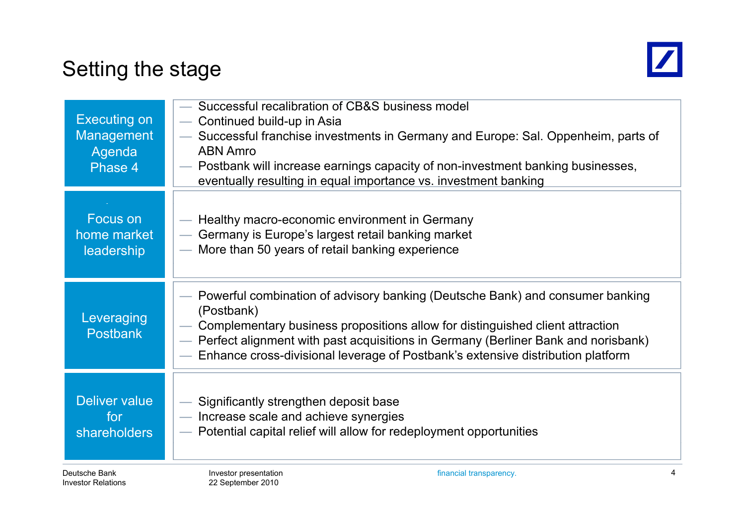# Setting the stage



| <b>Executing on</b><br><b>Management</b><br>Agenda<br>Phase 4 | Successful recalibration of CB&S business model<br>Continued build-up in Asia<br>Successful franchise investments in Germany and Europe: Sal. Oppenheim, parts of<br><b>ABN Amro</b><br>- Postbank will increase earnings capacity of non-investment banking businesses,<br>eventually resulting in equal importance vs. investment banking            |
|---------------------------------------------------------------|--------------------------------------------------------------------------------------------------------------------------------------------------------------------------------------------------------------------------------------------------------------------------------------------------------------------------------------------------------|
| Focus on<br>home market<br>leadership                         | — Healthy macro-economic environment in Germany<br>Germany is Europe's largest retail banking market<br>$\overline{\phantom{a}}$<br>- More than 50 years of retail banking experience                                                                                                                                                                  |
| Leveraging<br><b>Postbank</b>                                 | Powerful combination of advisory banking (Deutsche Bank) and consumer banking<br>(Postbank)<br>Complementary business propositions allow for distinguished client attraction<br>- Perfect alignment with past acquisitions in Germany (Berliner Bank and norisbank)<br>Enhance cross-divisional leverage of Postbank's extensive distribution platform |
| Deliver value<br>for<br><b>shareholders</b>                   | Significantly strengthen deposit base<br>- Increase scale and achieve synergies<br>Potential capital relief will allow for redeployment opportunities                                                                                                                                                                                                  |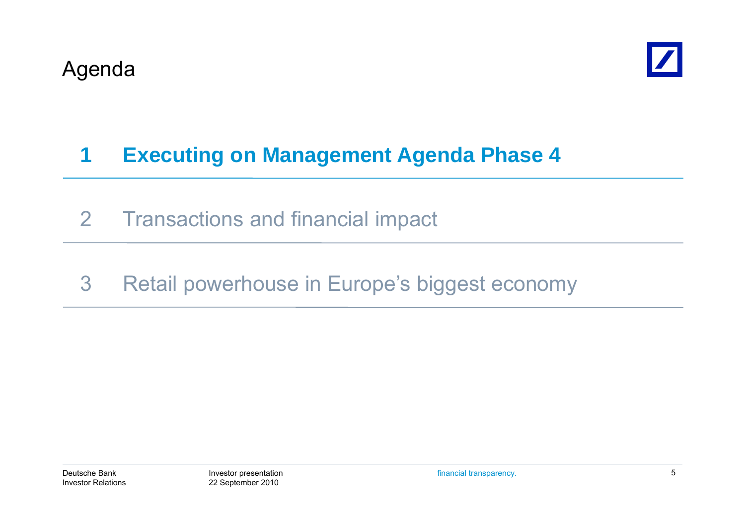

# **1 Executing on Management Agenda Phase 4**

- 2 Transactions and financial impact
- 3 Retail powerhouse in Europe's biggest economy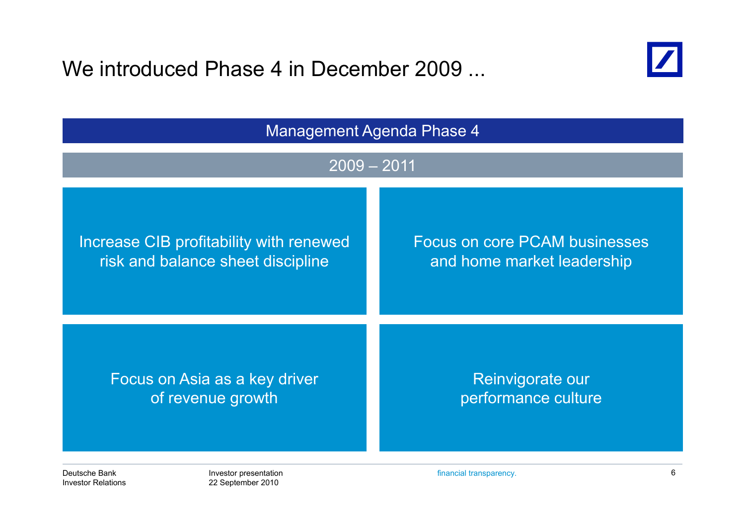We introduced Phase 4 in December 2009 ...

22 September 2010

Investor Relations



| <b>Management Agenda Phase 4</b>                                                                                                                   |                                                    |                                         |  |
|----------------------------------------------------------------------------------------------------------------------------------------------------|----------------------------------------------------|-----------------------------------------|--|
| $2009 - 2011$                                                                                                                                      |                                                    |                                         |  |
| <b>Focus on core PCAM businesses</b><br>Increase CIB profitability with renewed<br>risk and balance sheet discipline<br>and home market leadership |                                                    |                                         |  |
|                                                                                                                                                    | Focus on Asia as a key driver<br>of revenue growth | Reinvigorate our<br>performance culture |  |
| Deutsche Bank                                                                                                                                      | Investor presentation                              | 6<br>financial transparency.            |  |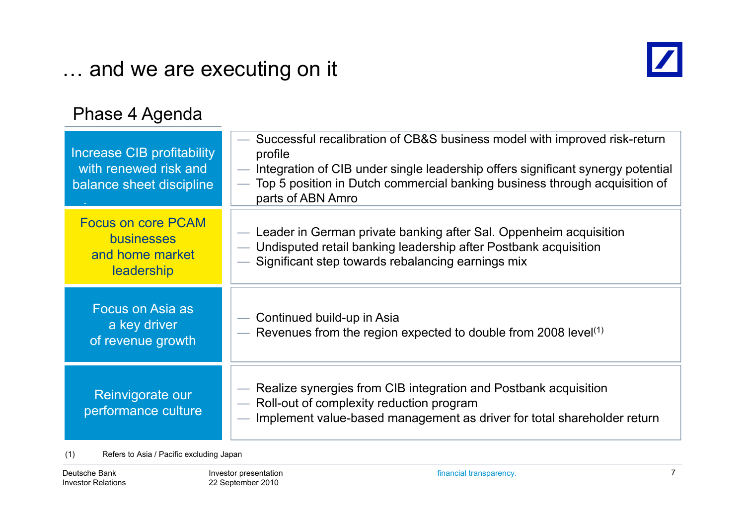# … and we are executing on it



#### Phase 4 Agenda

| Increase CIB profitability<br>with renewed risk and<br>balance sheet discipline | - Successful recalibration of CB&S business model with improved risk-return<br>profile<br>— Integration of CIB under single leadership offers significant synergy potential<br>Top 5 position in Dutch commercial banking business through acquisition of<br>parts of ABN Amro |
|---------------------------------------------------------------------------------|--------------------------------------------------------------------------------------------------------------------------------------------------------------------------------------------------------------------------------------------------------------------------------|
| <b>Focus on core PCAM</b><br><b>businesses</b><br>and home market<br>leadership | — Leader in German private banking after Sal. Oppenheim acquisition<br>- Undisputed retail banking leadership after Postbank acquisition<br>- Significant step towards rebalancing earnings mix                                                                                |
| Focus on Asia as<br>a key driver<br>of revenue growth                           | — Continued build-up in Asia<br>— Revenues from the region expected to double from 2008 level $(1)$                                                                                                                                                                            |
| Reinvigorate our<br>performance culture                                         | — Realize synergies from CIB integration and Postbank acquisition<br>- Roll-out of complexity reduction program<br>- Implement value-based management as driver for total shareholder return                                                                                   |

(1) Refers to Asia / Pacific excluding Japan

Deutsche BankInvestor Relations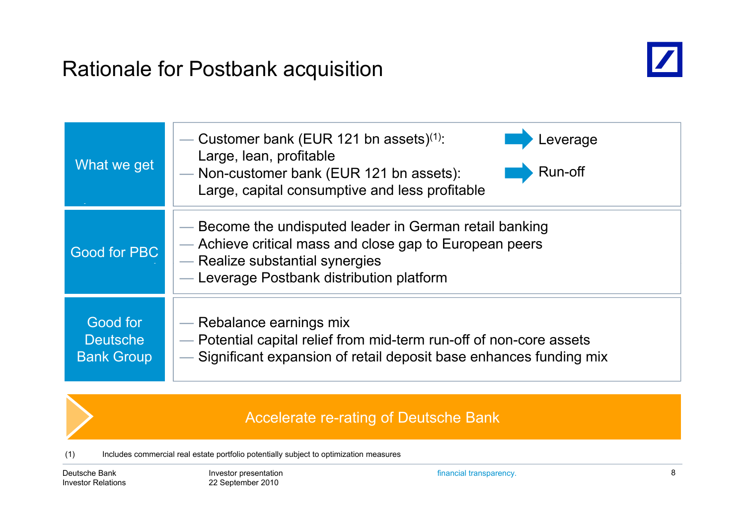# Rationale for Postbank acquisition



| What we get                                      | Customer bank (EUR 121 bn assets) <sup>(1)</sup> :<br>_everage<br>Large, lean, profitable<br>Run-off<br>- Non-customer bank (EUR 121 bn assets):<br>Large, capital consumptive and less profitable |
|--------------------------------------------------|----------------------------------------------------------------------------------------------------------------------------------------------------------------------------------------------------|
| <b>Good for PBC</b>                              | — Become the undisputed leader in German retail banking<br>— Achieve critical mass and close gap to European peers<br>- Realize substantial synergies<br>- Leverage Postbank distribution platform |
| Good for<br><b>Deutsche</b><br><b>Bank Group</b> | — Rebalance earnings mix<br>- Potential capital relief from mid-term run-off of non-core assets<br>Significant expansion of retail deposit base enhances funding mix                               |

#### Accelerate re-rating of Deutsche Bank

(1) Includes commercial real estate portfolio potentially subject to optimization measures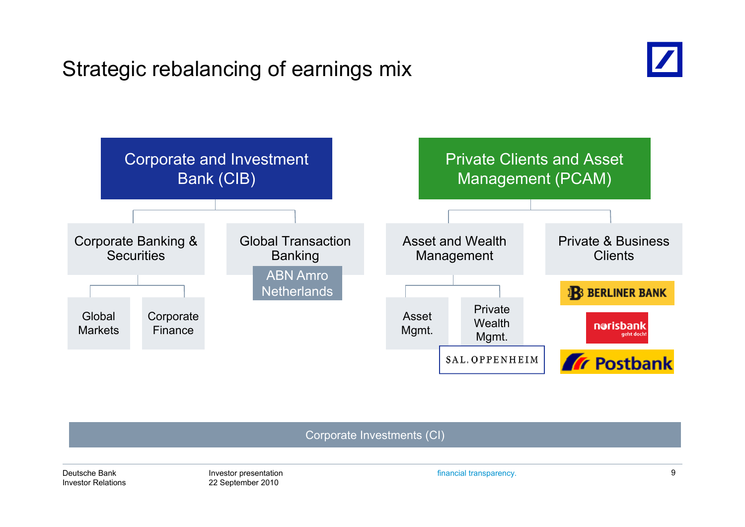# Strategic rebalancing of earnings mix





Corporate Investments (CI)

Deutsche BankInvestor Relations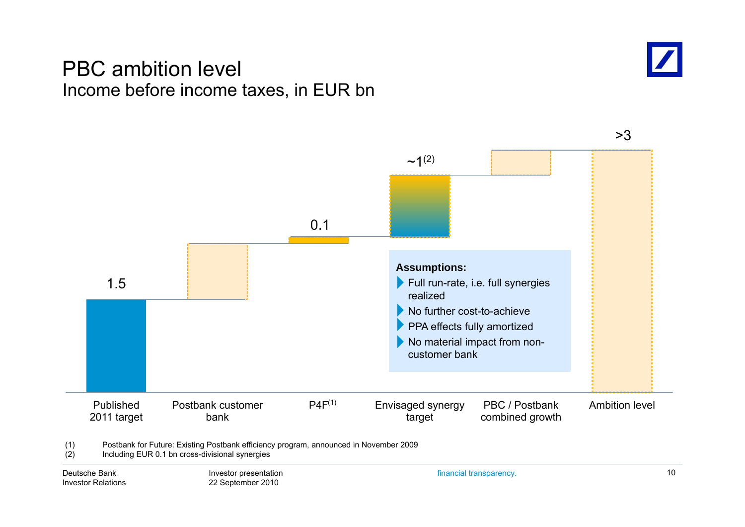### PBC ambition level Income before income taxes, in EUR bn



>3

Deutsche BankInvestor Relations

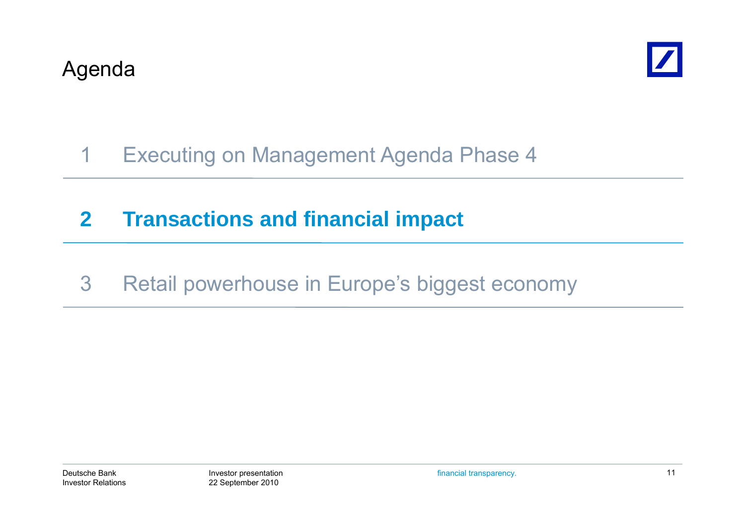

# 1 Executing on Management Agenda Phase 4

# **2 Transactions and financial impact**

3 Retail powerhouse in Europe's biggest economy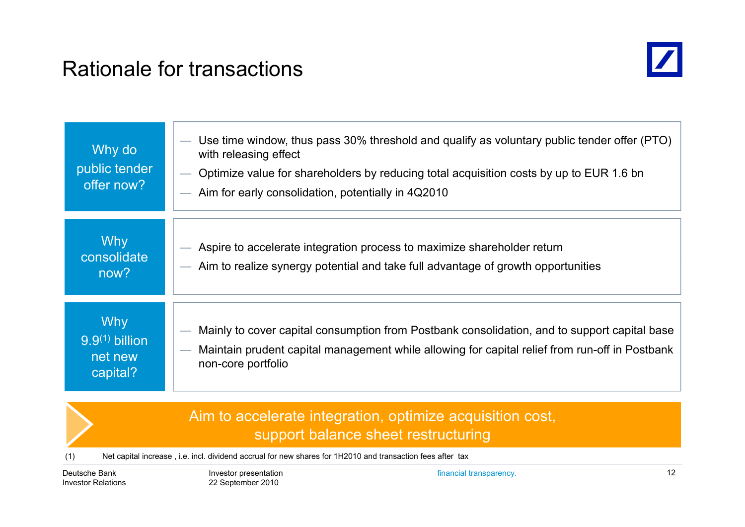# Rationale for transactions



| Why do<br>public tender<br>offer now?                 | Use time window, thus pass 30% threshold and qualify as voluntary public tender offer (PTO)<br>with releasing effect<br>Optimize value for shareholders by reducing total acquisition costs by up to EUR 1.6 bn<br>Aim for early consolidation, potentially in 4Q2010 |
|-------------------------------------------------------|-----------------------------------------------------------------------------------------------------------------------------------------------------------------------------------------------------------------------------------------------------------------------|
| <b>Why</b><br>consolidate<br>now?                     | Aspire to accelerate integration process to maximize shareholder return<br>- Aim to realize synergy potential and take full advantage of growth opportunities                                                                                                         |
| <b>Why</b><br>$9.9(1)$ billion<br>net new<br>capital? | Mainly to cover capital consumption from Postbank consolidation, and to support capital base<br>Maintain prudent capital management while allowing for capital relief from run-off in Postbank<br>non-core portfolio                                                  |

#### Aim to accelerate integration, optimize acquisition cost, support balance sheet restructuring

(1) Net capital increase , i.e. incl. dividend accrual for new shares for 1H2010 and transaction fees after tax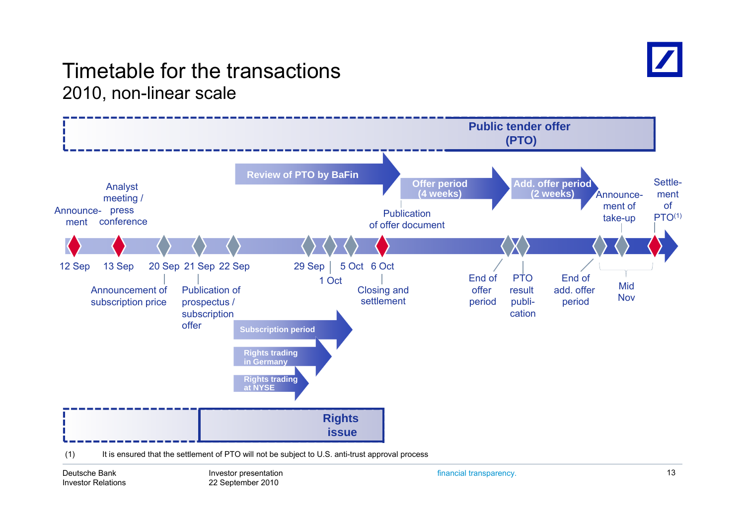

### Timetable for the transactions2010, non-linear scale



Deutsche BankInvestor Relations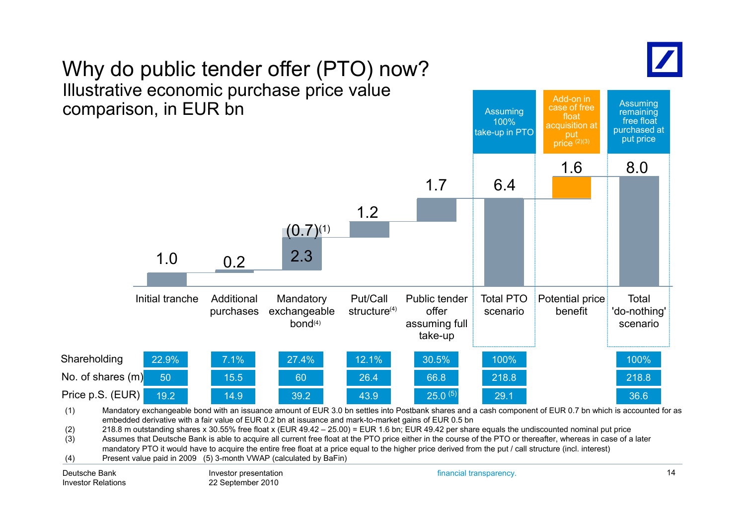

Assuming

Add-on in

# Why do public tender offer (PTO) now? Illustrative economic purchase price value



(2) 218.8 m outstanding shares x 30.55% free float x (EUR 49.42 – 25.00) = EUR 1.6 bn; EUR 49.42 per share equals the undiscounted nominal put price

(3)  $\hspace{1cm}$  Assumes that Deutsche Bank is able to acquire all current free float at the PTO price either in the course of the PTO or thereafter, whereas in case of a later mandatory PTO it would have to acquire the entire free float at a price equal to the higher price derived from the put / call structure (incl. interest)

(4) Present value paid in 2009 (5) 3-month VWAP (calculated by BaFin)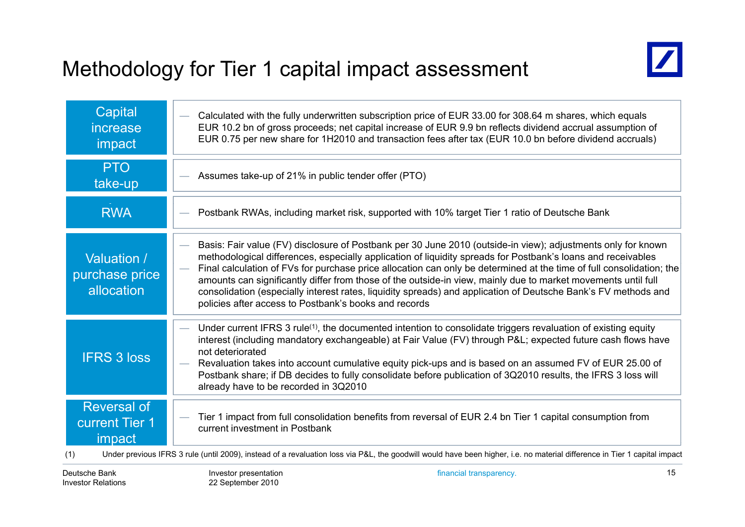# Methodology for Tier 1 capital impact assessment



| Capital<br>increase<br>impact                                | Calculated with the fully underwritten subscription price of EUR 33.00 for 308.64 m shares, which equals<br>EUR 10.2 bn of gross proceeds; net capital increase of EUR 9.9 bn reflects dividend accrual assumption of<br>EUR 0.75 per new share for 1H2010 and transaction fees after tax (EUR 10.0 bn before dividend accruals)                                                                                                                                                                                                                                                                                                                      |
|--------------------------------------------------------------|-------------------------------------------------------------------------------------------------------------------------------------------------------------------------------------------------------------------------------------------------------------------------------------------------------------------------------------------------------------------------------------------------------------------------------------------------------------------------------------------------------------------------------------------------------------------------------------------------------------------------------------------------------|
| <b>PTO</b><br>take-up                                        | Assumes take-up of 21% in public tender offer (PTO)                                                                                                                                                                                                                                                                                                                                                                                                                                                                                                                                                                                                   |
| <b>RWA</b>                                                   | Postbank RWAs, including market risk, supported with 10% target Tier 1 ratio of Deutsche Bank                                                                                                                                                                                                                                                                                                                                                                                                                                                                                                                                                         |
| Valuation /<br>purchase price<br>allocation                  | Basis: Fair value (FV) disclosure of Postbank per 30 June 2010 (outside-in view); adjustments only for known<br>methodological differences, especially application of liquidity spreads for Postbank's loans and receivables<br>Final calculation of FVs for purchase price allocation can only be determined at the time of full consolidation; the<br>-<br>amounts can significantly differ from those of the outside-in view, mainly due to market movements until full<br>consolidation (especially interest rates, liquidity spreads) and application of Deutsche Bank's FV methods and<br>policies after access to Postbank's books and records |
| <b>IFRS 3 loss</b>                                           | Under current IFRS 3 rule <sup>(1)</sup> , the documented intention to consolidate triggers revaluation of existing equity<br>interest (including mandatory exchangeable) at Fair Value (FV) through P&L expected future cash flows have<br>not deteriorated<br>Revaluation takes into account cumulative equity pick-ups and is based on an assumed FV of EUR 25.00 of<br>Postbank share; if DB decides to fully consolidate before publication of 3Q2010 results, the IFRS 3 loss will<br>already have to be recorded in 3Q2010                                                                                                                     |
| <b>Reversal of</b><br><b>current Tier 1</b><br>impact<br>(1) | Tier 1 impact from full consolidation benefits from reversal of EUR 2.4 bn Tier 1 capital consumption from<br>current investment in Postbank<br>Under previous IFRS 3 rule (until 2009), instead of a revaluation loss via P&L, the goodwill would have been higher, i.e. no material difference in Tier 1 capital impact                                                                                                                                                                                                                                                                                                                             |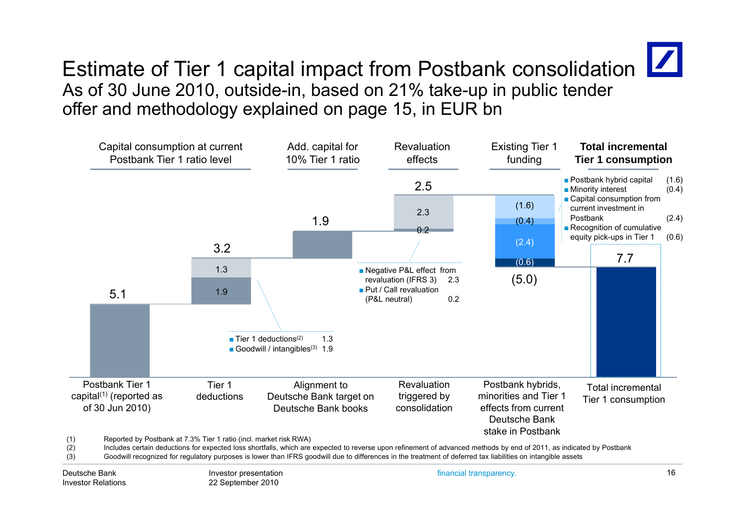

# Estimate of Tier 1 capital impact from Postbank consolidation  $\boxed{\phantom{a}}$ As of 30 June 2010, outside-in, based on 21% take-up in public tender offer and methodology explained on page 15, in EUR bn



(3) Goodwill recognized for regulatory purposes is lower than IFRS goodwill due to differences in the treatment of deferred tax liabilities on intangible assets

Deutsche BankInvestor Relations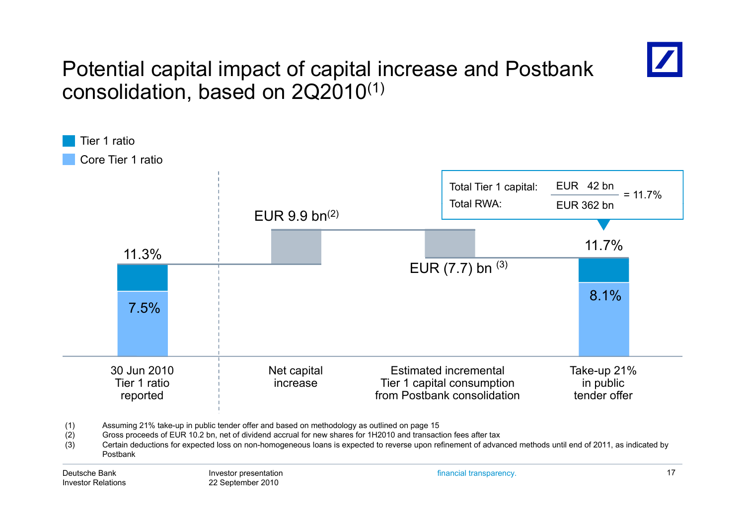

# Potential capital impact of capital increase and Postbank consolidation, based on 2Q2010 $^{\left(1\right)}$

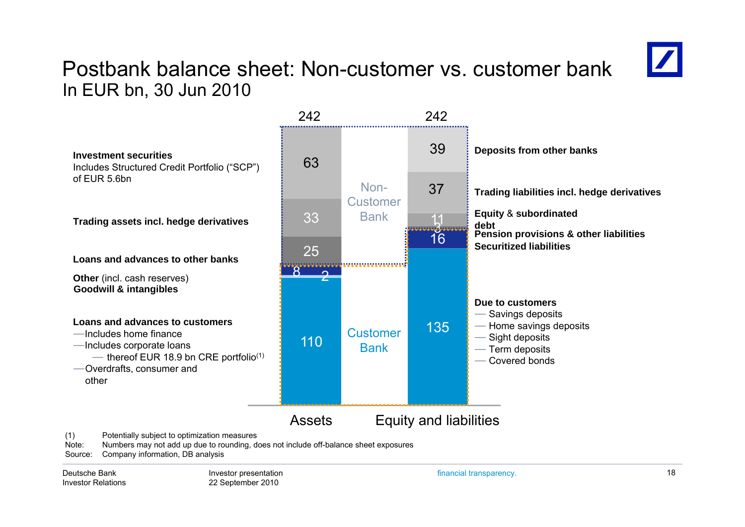### Postbank balance sheet: Non-customer vs. customer bankIn EUR bn, 30 Jun 2010



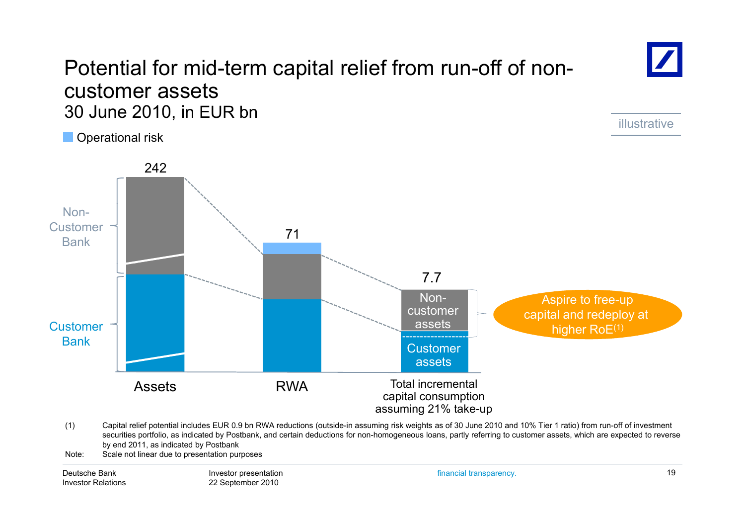### Potential for mid-term capital relief from run-off of noncustomer assets 30 June 2010, in EUR bn

O perational risk



(1) Capital relief potential includes EUR 0.9 bn RWA reductions (outside-in assuming risk weights as of 30 June 2010 and 10% Tier 1 ratio) from run-off of investment securities portfolio, as indicated by Postbank, and certain deductions for non-homogeneous loans, partly referring to customer assets, which are expected to reverse by end 2011, as indicated by Postbank

Note: Scale not linear due to presentation purposes

Deutsche BankInvestor Relations Investor presentation 22 September 2010

financial transparency. 19

illustrative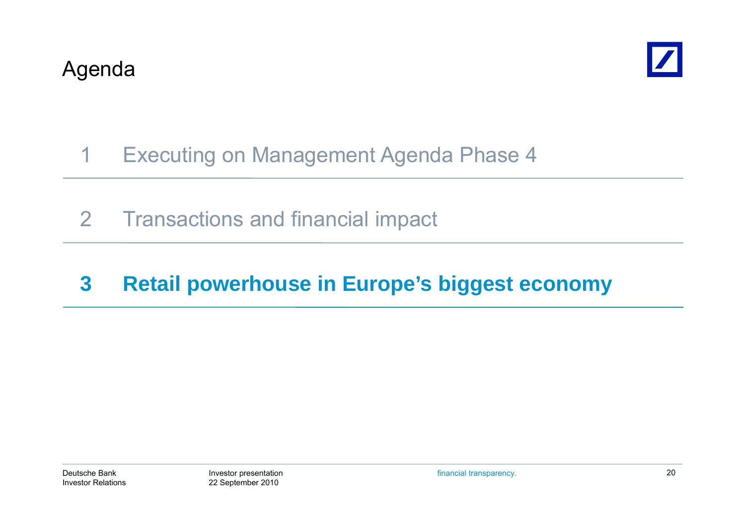

# 1 Executing on Management Agenda Phase 4

2 Transactions and financial impact

# **3 Retail powerhouse in Europe's biggest economy**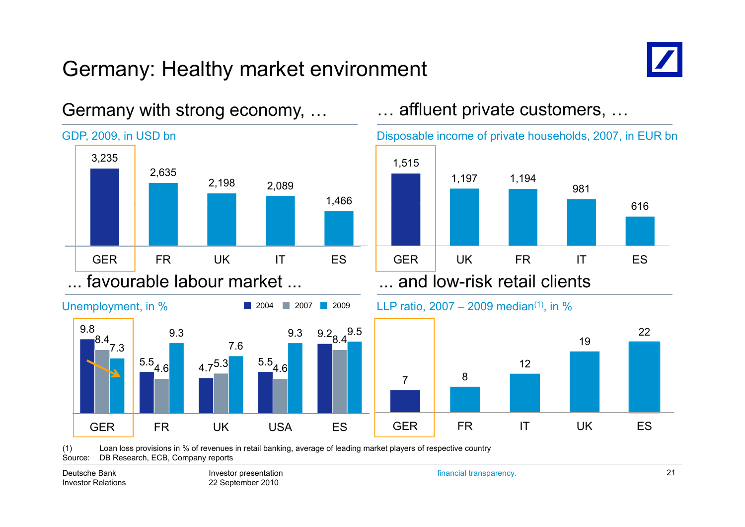# Germany: Healthy market environment



616

22

981

19



Germany with strong economy, …

(1) Loan loss provisions in % of revenues in retail banking, average of leading market players of respective country Source: DB Research, ECB, Company reports

Deutsche BankInvestor Relations

Investor presentation 22 September 2010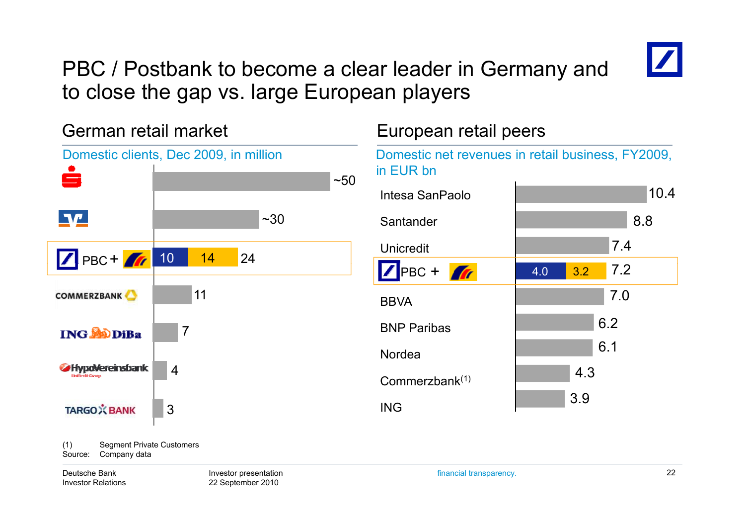

# PBC / Postbank to become a clear leader in Germany and to close the gap vs. large European players

German retail market European retail peers Domestic clients, Dec 2009, in million Domestic net revenues in retail business, FY2009, in EUR bnيصا  $~50$  10.4 Intesa SanPaolo $\P\Psi$  $~1.30$ Santanderr 18.8 7.4Unicredit10 14 24PBC + 7.2PBC + **1** 4.0 3.2 117.0**COMMERZBANK BBVA** 6 26.2NordeaBNP Paribas7**ING SODIBa** 6.1**SHypoVereinsbank** 4<br>Commerzbank<sup>(1)</sup> 4.33.9ING**TARGO**X BANK 3

(1) Segment Private Customers Source: Company data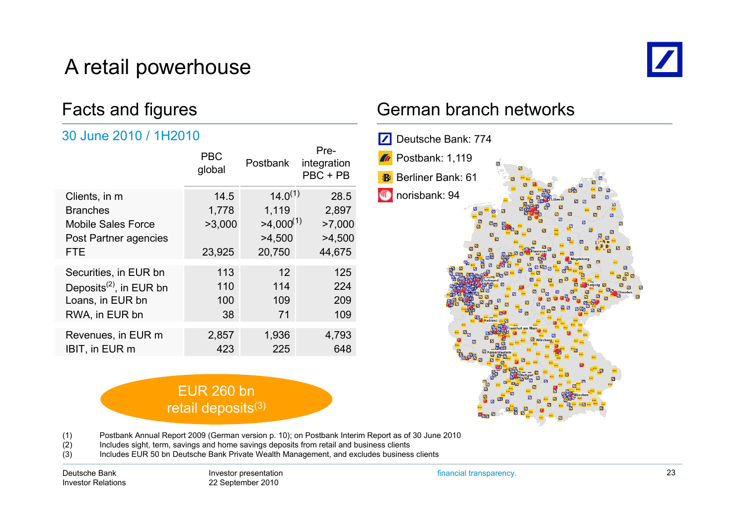# A retail powerhouse



### Facts and figures

#### 30 June 2010 / 1H2010

|                                     | <b>PBC</b><br>global | <b>Postbank</b> | Pre-<br>integration<br>$PBC + PB$ |
|-------------------------------------|----------------------|-----------------|-----------------------------------|
| Clients, in m                       | 14.5                 | $14.0^{(1)}$    | 28.5                              |
| <b>Branches</b>                     | 1,778                | 1,119           | 2,897                             |
| <b>Mobile Sales Force</b>           | >3,000               | $>4,000^{(1)}$  | >7,000                            |
| Post Partner agencies               |                      | >4,500          | >4,500                            |
| <b>FTE</b>                          | 23,925               | 20,750          | 44,675                            |
| Securities, in EUR bn               | 113                  | 12              | 125                               |
| Deposits <sup>(2)</sup> , in EUR bn | 110                  | 114             | 224                               |
| Loans, in EUR bn                    | 100                  | 109             | 209                               |
| RWA, in EUR bn                      | 38                   | 71              | 109                               |
|                                     |                      |                 |                                   |
| IBIT, in EUR m                      | 423                  | 225             | 648                               |
| Revenues, in EUR m                  | 2,857                | 1,936           | 4,793                             |

### German branch networks



(1) Postbank Annual Report 2009 (German version p. 10); on Postbank Interim Report as of 30 June 2010

(2) Includes sight, term, savings and home savings deposits from retail and business clients

EUR 260 bn retail deposits<sup>(3)</sup>

(3) Includes EUR 50 bn Deutsche Bank Private Wealth Management, and excludes business clients

Deutsche BankInvestor Relations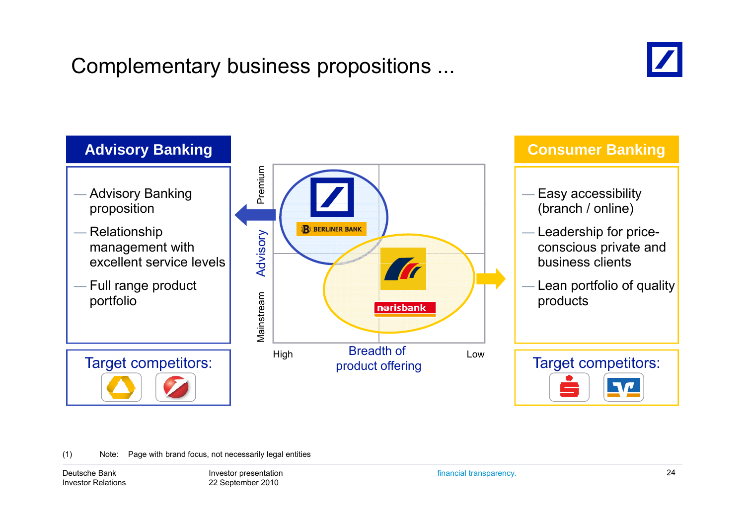# Complementary business propositions ...





(1) Note: Page with brand focus, not necessarily legal entities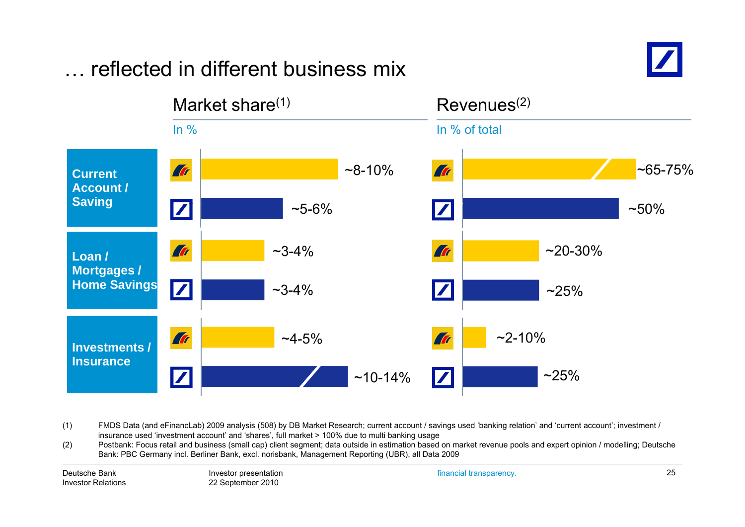#### Market share $(1)$  Revenues $(2)$ In % In % of total **Tr**  $~8 - 10\%$ Tr  $~85 - 75%$ **Current Account /Saving**  $\boldsymbol{Z}$  $~50\%$  $\sim$ 5-6%  $\boldsymbol{Z}$ **Tr**  $~20 - 30%$ Tr  $~23 - 4\%$ **Loan / Mortgages / Home Savings** ~3-4% $~25\%$ **Tr**  $~2 - 10%$  $~1.4 - 5\%$ **Art Investments / Insurance** $\overline{\mathbf{Z}}$  $~25\%$  $\boldsymbol{Z}$ ~10-14%

### … reflected in different business mix

(1) FMDS Data (and eFinancLab) 2009 analysis (508) by DB Market Research; current account / savings used 'banking relation' and 'current account'; investment / insurance used 'investment account' and 'shares', full market > 100% due to multi banking usage

(2) Postbank: Focus retail and business (small cap) client segment; data outside in estimation based on market revenue pools and expert opinion / modelling; Deutsche  $(2)$ Bank: PBC Germany incl. Berliner Bank, excl. norisbank, Management Reporting (UBR), all Data 2009

Deutsche BankInvestor Relations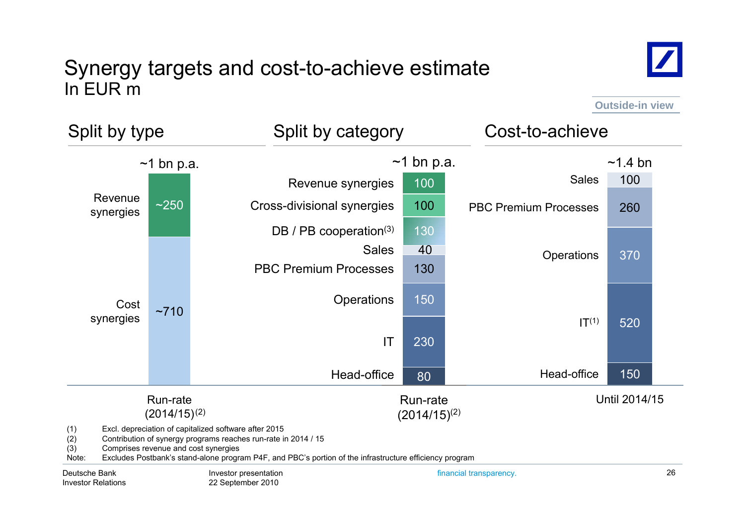### Synergy targets and cost-to-achieve estimate In EUR m



**Outside-in view**

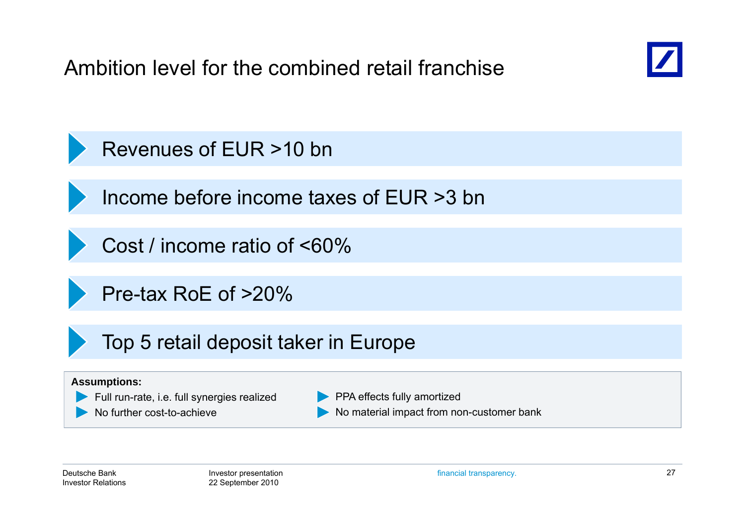Ambition level for the combined retail franchise



Revenues of EUR >10 bn

Income before income taxes of EUR >3 bn

Cost / income ratio of <60%

Pre-tax RoE of >20%

Top 5 retail deposit taker in Europe

#### **Assumptions:**



No further cost-to-achieve

**PPA effects fully amortized** No material impact from non-customer bank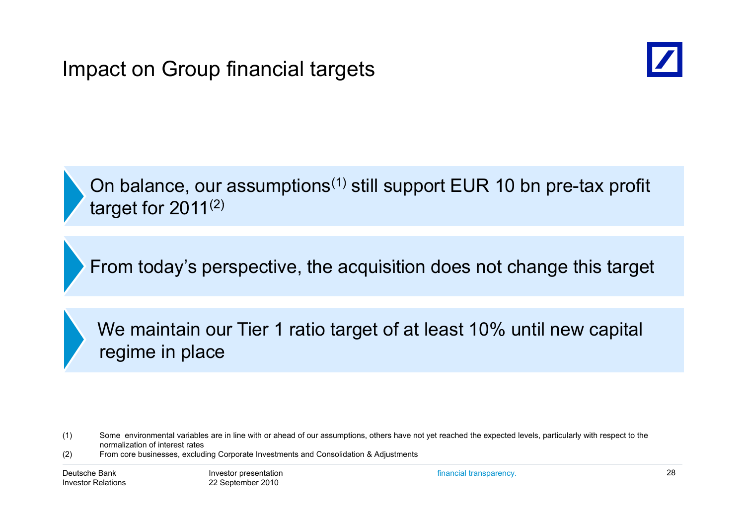

On balance, our assumptions<sup>(1)</sup> still support EUR 10 bn pre-tax profit target for 2011 $^{(2)}$ 

From today's perspective, the acquisition does not change this target

We maintain our Tier 1 ratio target of at least 10% until new capital regime in place

(2) From core businesses, excluding Corporate Investments and Consolidation & Adjustments

<sup>(1)</sup> Some environmental variables are in line with or ahead of our assumptions, others have not yet reached the expected levels, particularly with respect to the normalization of interest rates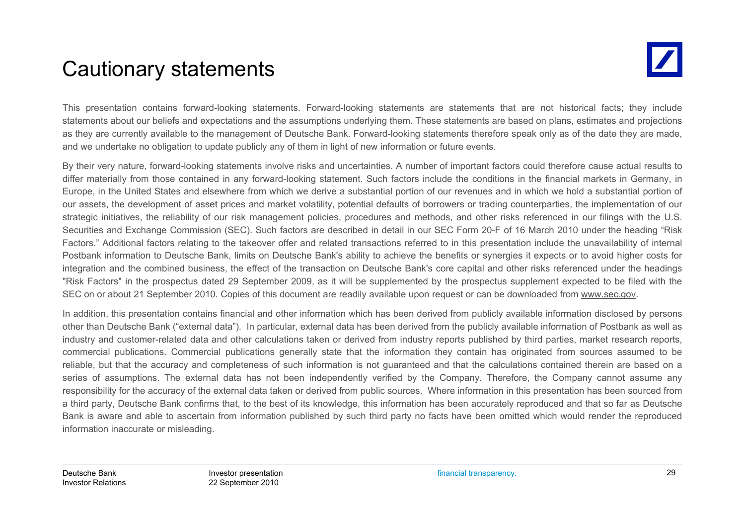# Cautionary statements

This presentation contains forward-looking statements. Forward-looking statements are statements that are not historical facts; they include statements about our beliefs and expectations and the assumptions underlying them. These statements are based on plans, estimates and projections as they are currently available to the management of Deutsche Bank. Forward-looking statements therefore speak only as of the date they are made, and we undertake no obligation to update publicly any of them in light of new information or future events.

By their very nature, forward-looking statements involve risks and uncertainties. A number of important factors could therefore cause actual results to differ materially from those contained in any forward-looking statement. Such factors include the conditions in the financial markets in Germany, in Europe, in the United States and elsewhere from which we derive <sup>a</sup> substantial portion of our revenues and in which we hold <sup>a</sup> substantial portion of our assets, the development of asset prices and market volatility, potential defaults of borrowers or trading counterparties, the implementation of our strategic initiatives, the reliability of our risk management policies, procedures and methods, and other risks referenced in our filings with the U.S. Securities and Exchange Commission (SEC). Such factors are described in detail in our SEC Form 20-F of 16 March 2010 under the heading "Risk Factors." Additional factors relating to the takeover offer and related transactions referred to in this presentation include the unavailability of internal Postbank information to Deutsche Bank, limits on Deutsche Bank's ability to achieve the benefits or synergies it expects or to avoid higher costs for integration and the combined business, the effect of the transaction on Deutsche Bank's core capital and other risks referenced under the headings "Risk Factors" in the prospectus dated 29 September 2009, as it will be supplemented by the prospectus supplement expected to be filed with the SEC on or about 21 September 2010. Copies of this document are readily available upon request or can be downloaded from www.sec.gov.

In addition, this presentation contains financial and other information which has been derived from publicly available information disclosed by persons other than Deutsche Bank ("external data"). In particular, external data has been derived from the publicly available information of Postbank as well as industry and customer-related data and other calculations taken or derived from industry reports published by third parties, market research reports, commercial publications. Commercial publications generally state that the information they contain has originated from sources assumed to be reliable, but that the accuracy and completeness of such information is not guaranteed and that the calculations contained therein are based on <sup>a</sup> series of assumptions. The external data has not been independently verified by the Company. Therefore, the Company cannot assume any responsibility for the accuracy of the external data taken or derived from public sources. Where information in this presentation has been sourced from <sup>a</sup> third party, Deutsche Bank confirms that, to the best of its knowledge, this information has been accurately reproduced and that so far as Deutsche Bank is aware and able to ascertain from information published by such third party no facts have been omitted which would render the reproduced information inaccurate or misleading.